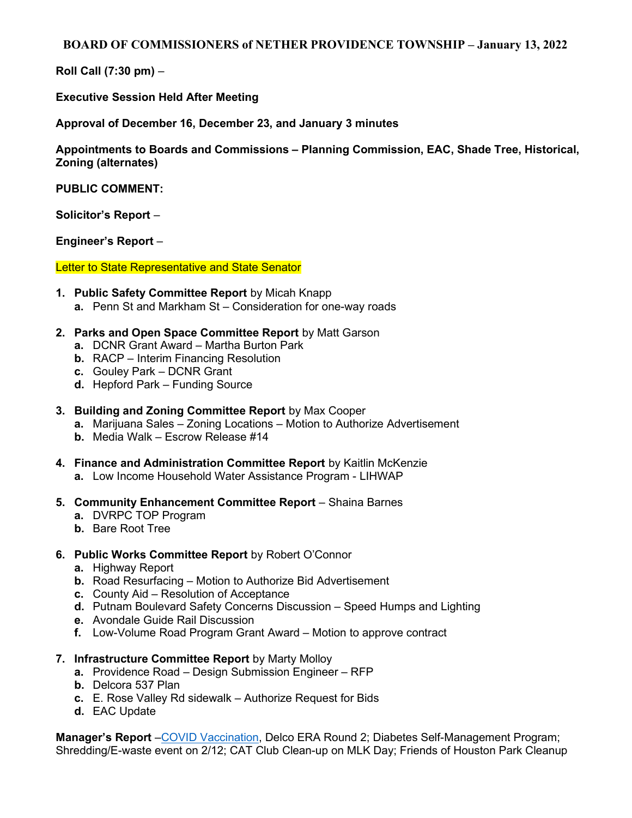## BOARD OF COMMISSIONERS of NETHER PROVIDENCE TOWNSHIP – January 13, 2022

Roll Call (7:30 pm) –

Executive Session Held After Meeting

Approval of December 16, December 23, and January 3 minutes

Appointments to Boards and Commissions – Planning Commission, EAC, Shade Tree, Historical, Zoning (alternates)

PUBLIC COMMENT:

Solicitor's Report –

Engineer's Report –

Letter to State Representative and State Senator

- 1. Public Safety Committee Report by Micah Knapp
	- a. Penn St and Markham St Consideration for one-way roads
- 2. Parks and Open Space Committee Report by Matt Garson
	- a. DCNR Grant Award Martha Burton Park
	- b. RACP Interim Financing Resolution
	- c. Gouley Park DCNR Grant
	- d. Hepford Park Funding Source
- 3. Building and Zoning Committee Report by Max Cooper
	- a. Marijuana Sales Zoning Locations Motion to Authorize Advertisement
	- b. Media Walk Escrow Release #14
- 4. Finance and Administration Committee Report by Kaitlin McKenzie
	- a. Low Income Household Water Assistance Program LIHWAP
- 5. Community Enhancement Committee Report Shaina Barnes
	- a. DVRPC TOP Program
	- b. Bare Root Tree

## 6. Public Works Committee Report by Robert O'Connor

- a. Highway Report
- b. Road Resurfacing Motion to Authorize Bid Advertisement
- c. County Aid Resolution of Acceptance
- d. Putnam Boulevard Safety Concerns Discussion Speed Humps and Lighting
- e. Avondale Guide Rail Discussion
- f. Low-Volume Road Program Grant Award Motion to approve contract
- 7. Infrastructure Committee Report by Marty Molloy
	- a. Providence Road Design Submission Engineer RFP
	- b. Delcora 537 Plan
	- c. E. Rose Valley Rd sidewalk Authorize Request for Bids
	- d. EAC Update

Manager's Report -COVID Vaccination, Delco ERA Round 2; Diabetes Self-Management Program; Shredding/E-waste event on 2/12; CAT Club Clean-up on MLK Day; Friends of Houston Park Cleanup